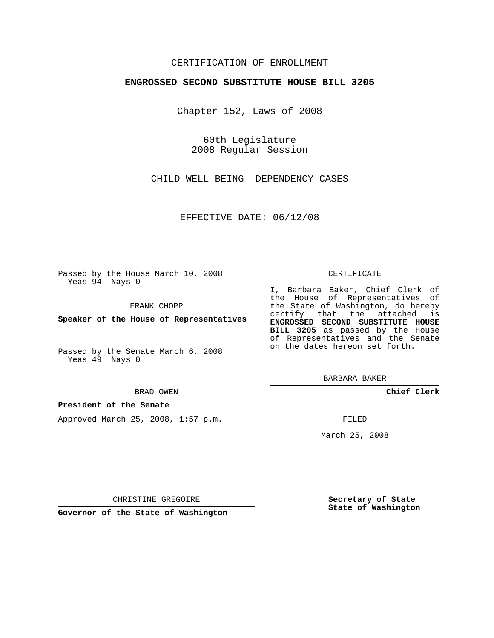# CERTIFICATION OF ENROLLMENT

### **ENGROSSED SECOND SUBSTITUTE HOUSE BILL 3205**

Chapter 152, Laws of 2008

60th Legislature 2008 Regular Session

CHILD WELL-BEING--DEPENDENCY CASES

EFFECTIVE DATE: 06/12/08

Passed by the House March 10, 2008 Yeas 94 Nays 0

FRANK CHOPP

**Speaker of the House of Representatives**

Passed by the Senate March 6, 2008 Yeas 49 Nays 0

#### BRAD OWEN

## **President of the Senate**

Approved March 25, 2008, 1:57 p.m.

#### CERTIFICATE

I, Barbara Baker, Chief Clerk of the House of Representatives of the State of Washington, do hereby certify that the attached is **ENGROSSED SECOND SUBSTITUTE HOUSE BILL 3205** as passed by the House of Representatives and the Senate on the dates hereon set forth.

BARBARA BAKER

**Chief Clerk**

FILED

March 25, 2008

**Secretary of State State of Washington**

CHRISTINE GREGOIRE

**Governor of the State of Washington**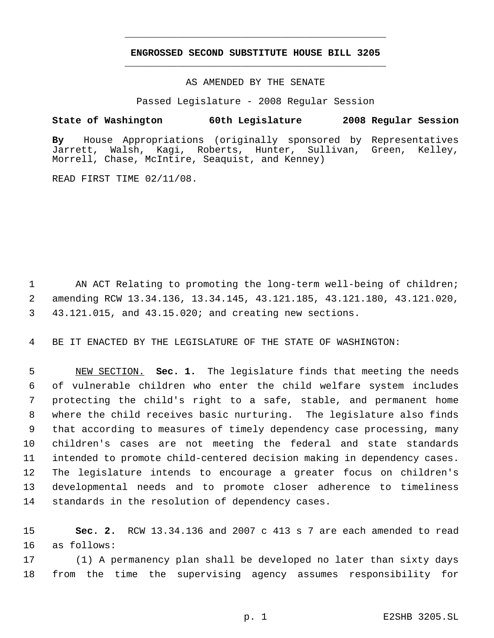# **ENGROSSED SECOND SUBSTITUTE HOUSE BILL 3205** \_\_\_\_\_\_\_\_\_\_\_\_\_\_\_\_\_\_\_\_\_\_\_\_\_\_\_\_\_\_\_\_\_\_\_\_\_\_\_\_\_\_\_\_\_

\_\_\_\_\_\_\_\_\_\_\_\_\_\_\_\_\_\_\_\_\_\_\_\_\_\_\_\_\_\_\_\_\_\_\_\_\_\_\_\_\_\_\_\_\_

### AS AMENDED BY THE SENATE

Passed Legislature - 2008 Regular Session

## **State of Washington 60th Legislature 2008 Regular Session**

**By** House Appropriations (originally sponsored by Representatives Jarrett, Walsh, Kagi, Roberts, Hunter, Sullivan, Green, Kelley, Morrell, Chase, McIntire, Seaquist, and Kenney)

READ FIRST TIME 02/11/08.

1 AN ACT Relating to promoting the long-term well-being of children; 2 amending RCW 13.34.136, 13.34.145, 43.121.185, 43.121.180, 43.121.020, 3 43.121.015, and 43.15.020; and creating new sections.

4 BE IT ENACTED BY THE LEGISLATURE OF THE STATE OF WASHINGTON:

 NEW SECTION. **Sec. 1.** The legislature finds that meeting the needs of vulnerable children who enter the child welfare system includes protecting the child's right to a safe, stable, and permanent home where the child receives basic nurturing. The legislature also finds that according to measures of timely dependency case processing, many children's cases are not meeting the federal and state standards intended to promote child-centered decision making in dependency cases. The legislature intends to encourage a greater focus on children's developmental needs and to promote closer adherence to timeliness standards in the resolution of dependency cases.

15 **Sec. 2.** RCW 13.34.136 and 2007 c 413 s 7 are each amended to read 16 as follows:

17 (1) A permanency plan shall be developed no later than sixty days 18 from the time the supervising agency assumes responsibility for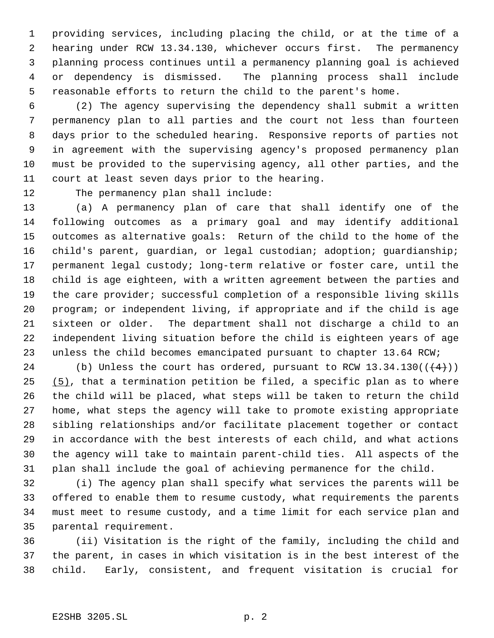providing services, including placing the child, or at the time of a hearing under RCW 13.34.130, whichever occurs first. The permanency planning process continues until a permanency planning goal is achieved or dependency is dismissed. The planning process shall include reasonable efforts to return the child to the parent's home.

 (2) The agency supervising the dependency shall submit a written permanency plan to all parties and the court not less than fourteen days prior to the scheduled hearing. Responsive reports of parties not in agreement with the supervising agency's proposed permanency plan must be provided to the supervising agency, all other parties, and the court at least seven days prior to the hearing.

The permanency plan shall include:

 (a) A permanency plan of care that shall identify one of the following outcomes as a primary goal and may identify additional outcomes as alternative goals: Return of the child to the home of the 16 child's parent, guardian, or legal custodian; adoption; guardianship; permanent legal custody; long-term relative or foster care, until the child is age eighteen, with a written agreement between the parties and the care provider; successful completion of a responsible living skills program; or independent living, if appropriate and if the child is age sixteen or older. The department shall not discharge a child to an independent living situation before the child is eighteen years of age unless the child becomes emancipated pursuant to chapter 13.64 RCW;

24 (b) Unless the court has ordered, pursuant to RCW  $13.34.130((\leftarrow 4))$  $(5)$ , that a termination petition be filed, a specific plan as to where the child will be placed, what steps will be taken to return the child home, what steps the agency will take to promote existing appropriate sibling relationships and/or facilitate placement together or contact in accordance with the best interests of each child, and what actions the agency will take to maintain parent-child ties. All aspects of the plan shall include the goal of achieving permanence for the child.

 (i) The agency plan shall specify what services the parents will be offered to enable them to resume custody, what requirements the parents must meet to resume custody, and a time limit for each service plan and parental requirement.

 (ii) Visitation is the right of the family, including the child and the parent, in cases in which visitation is in the best interest of the child. Early, consistent, and frequent visitation is crucial for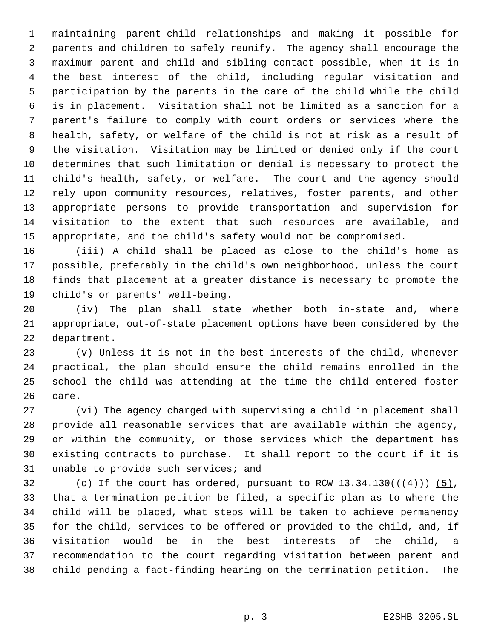maintaining parent-child relationships and making it possible for parents and children to safely reunify. The agency shall encourage the maximum parent and child and sibling contact possible, when it is in the best interest of the child, including regular visitation and participation by the parents in the care of the child while the child is in placement. Visitation shall not be limited as a sanction for a parent's failure to comply with court orders or services where the health, safety, or welfare of the child is not at risk as a result of the visitation. Visitation may be limited or denied only if the court determines that such limitation or denial is necessary to protect the child's health, safety, or welfare. The court and the agency should rely upon community resources, relatives, foster parents, and other appropriate persons to provide transportation and supervision for visitation to the extent that such resources are available, and appropriate, and the child's safety would not be compromised.

 (iii) A child shall be placed as close to the child's home as possible, preferably in the child's own neighborhood, unless the court finds that placement at a greater distance is necessary to promote the child's or parents' well-being.

 (iv) The plan shall state whether both in-state and, where appropriate, out-of-state placement options have been considered by the department.

 (v) Unless it is not in the best interests of the child, whenever practical, the plan should ensure the child remains enrolled in the school the child was attending at the time the child entered foster care.

 (vi) The agency charged with supervising a child in placement shall provide all reasonable services that are available within the agency, or within the community, or those services which the department has existing contracts to purchase. It shall report to the court if it is unable to provide such services; and

32 (c) If the court has ordered, pursuant to RCW  $13.34.130((\frac{4}{1}))$  (5), that a termination petition be filed, a specific plan as to where the child will be placed, what steps will be taken to achieve permanency for the child, services to be offered or provided to the child, and, if visitation would be in the best interests of the child, a recommendation to the court regarding visitation between parent and child pending a fact-finding hearing on the termination petition. The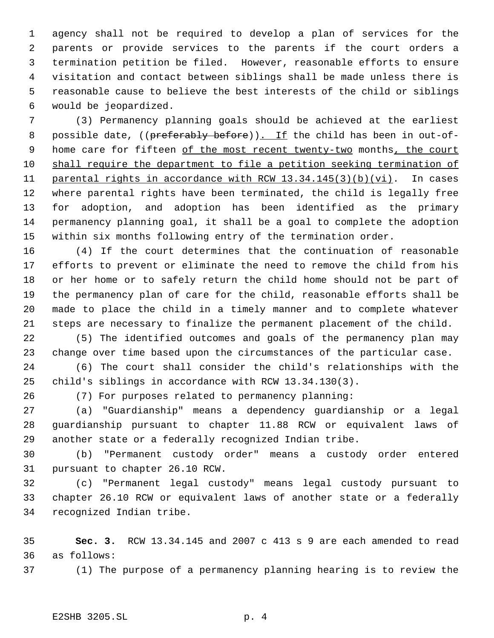agency shall not be required to develop a plan of services for the parents or provide services to the parents if the court orders a termination petition be filed. However, reasonable efforts to ensure visitation and contact between siblings shall be made unless there is reasonable cause to believe the best interests of the child or siblings would be jeopardized.

 (3) Permanency planning goals should be achieved at the earliest 8 possible date, ((preferably before)). If the child has been in out-of-9 home care for fifteen of the most recent twenty-two months, the court shall require the department to file a petition seeking termination of parental rights in accordance with RCW 13.34.145(3)(b)(vi). In cases where parental rights have been terminated, the child is legally free for adoption, and adoption has been identified as the primary permanency planning goal, it shall be a goal to complete the adoption within six months following entry of the termination order.

 (4) If the court determines that the continuation of reasonable efforts to prevent or eliminate the need to remove the child from his or her home or to safely return the child home should not be part of the permanency plan of care for the child, reasonable efforts shall be made to place the child in a timely manner and to complete whatever steps are necessary to finalize the permanent placement of the child.

 (5) The identified outcomes and goals of the permanency plan may change over time based upon the circumstances of the particular case.

 (6) The court shall consider the child's relationships with the child's siblings in accordance with RCW 13.34.130(3).

(7) For purposes related to permanency planning:

 (a) "Guardianship" means a dependency guardianship or a legal guardianship pursuant to chapter 11.88 RCW or equivalent laws of another state or a federally recognized Indian tribe.

 (b) "Permanent custody order" means a custody order entered pursuant to chapter 26.10 RCW.

 (c) "Permanent legal custody" means legal custody pursuant to chapter 26.10 RCW or equivalent laws of another state or a federally recognized Indian tribe.

 **Sec. 3.** RCW 13.34.145 and 2007 c 413 s 9 are each amended to read as follows:

(1) The purpose of a permanency planning hearing is to review the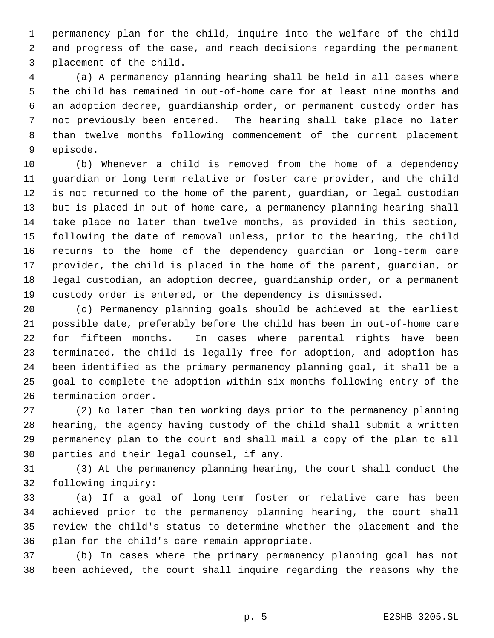permanency plan for the child, inquire into the welfare of the child and progress of the case, and reach decisions regarding the permanent placement of the child.

 (a) A permanency planning hearing shall be held in all cases where the child has remained in out-of-home care for at least nine months and an adoption decree, guardianship order, or permanent custody order has not previously been entered. The hearing shall take place no later than twelve months following commencement of the current placement episode.

 (b) Whenever a child is removed from the home of a dependency guardian or long-term relative or foster care provider, and the child is not returned to the home of the parent, guardian, or legal custodian but is placed in out-of-home care, a permanency planning hearing shall take place no later than twelve months, as provided in this section, following the date of removal unless, prior to the hearing, the child returns to the home of the dependency guardian or long-term care provider, the child is placed in the home of the parent, guardian, or legal custodian, an adoption decree, guardianship order, or a permanent custody order is entered, or the dependency is dismissed.

 (c) Permanency planning goals should be achieved at the earliest possible date, preferably before the child has been in out-of-home care for fifteen months. In cases where parental rights have been terminated, the child is legally free for adoption, and adoption has been identified as the primary permanency planning goal, it shall be a goal to complete the adoption within six months following entry of the termination order.

 (2) No later than ten working days prior to the permanency planning hearing, the agency having custody of the child shall submit a written permanency plan to the court and shall mail a copy of the plan to all parties and their legal counsel, if any.

 (3) At the permanency planning hearing, the court shall conduct the following inquiry:

 (a) If a goal of long-term foster or relative care has been achieved prior to the permanency planning hearing, the court shall review the child's status to determine whether the placement and the plan for the child's care remain appropriate.

 (b) In cases where the primary permanency planning goal has not been achieved, the court shall inquire regarding the reasons why the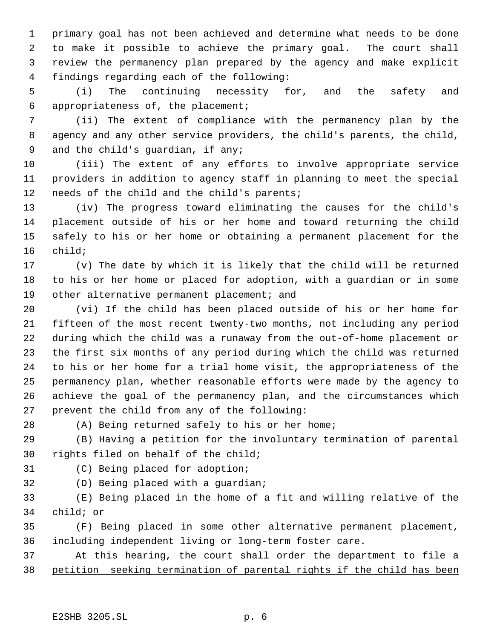primary goal has not been achieved and determine what needs to be done to make it possible to achieve the primary goal. The court shall review the permanency plan prepared by the agency and make explicit findings regarding each of the following:

 (i) The continuing necessity for, and the safety and appropriateness of, the placement;

 (ii) The extent of compliance with the permanency plan by the agency and any other service providers, the child's parents, the child, and the child's guardian, if any;

 (iii) The extent of any efforts to involve appropriate service providers in addition to agency staff in planning to meet the special needs of the child and the child's parents;

 (iv) The progress toward eliminating the causes for the child's placement outside of his or her home and toward returning the child safely to his or her home or obtaining a permanent placement for the child;

 (v) The date by which it is likely that the child will be returned to his or her home or placed for adoption, with a guardian or in some other alternative permanent placement; and

 (vi) If the child has been placed outside of his or her home for fifteen of the most recent twenty-two months, not including any period during which the child was a runaway from the out-of-home placement or the first six months of any period during which the child was returned to his or her home for a trial home visit, the appropriateness of the permanency plan, whether reasonable efforts were made by the agency to achieve the goal of the permanency plan, and the circumstances which prevent the child from any of the following:

(A) Being returned safely to his or her home;

 (B) Having a petition for the involuntary termination of parental rights filed on behalf of the child;

(C) Being placed for adoption;

(D) Being placed with a guardian;

 (E) Being placed in the home of a fit and willing relative of the child; or

 (F) Being placed in some other alternative permanent placement, including independent living or long-term foster care.

 At this hearing, the court shall order the department to file a petition seeking termination of parental rights if the child has been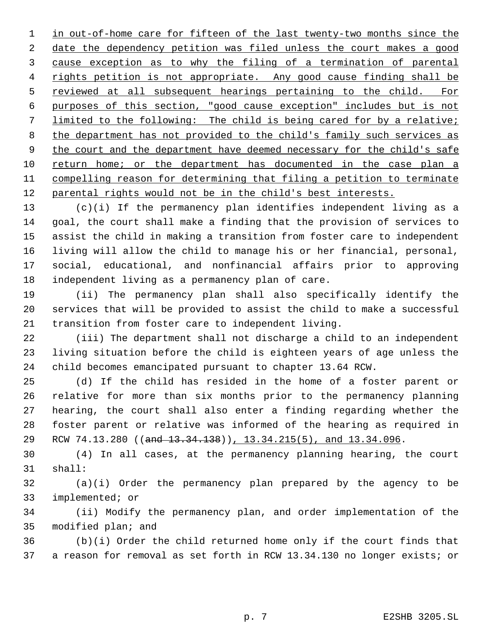1 in out-of-home care for fifteen of the last twenty-two months since the 2 date the dependency petition was filed unless the court makes a good cause exception as to why the filing of a termination of parental 4 rights petition is not appropriate. Any good cause finding shall be 5 reviewed at all subsequent hearings pertaining to the child. For purposes of this section, "good cause exception" includes but is not limited to the following: The child is being cared for by a relative; 8 the department has not provided to the child's family such services as 9 the court and the department have deemed necessary for the child's safe return home; or the department has documented in the case plan a compelling reason for determining that filing a petition to terminate 12 parental rights would not be in the child's best interests.

 (c)(i) If the permanency plan identifies independent living as a goal, the court shall make a finding that the provision of services to assist the child in making a transition from foster care to independent living will allow the child to manage his or her financial, personal, social, educational, and nonfinancial affairs prior to approving independent living as a permanency plan of care.

 (ii) The permanency plan shall also specifically identify the services that will be provided to assist the child to make a successful transition from foster care to independent living.

 (iii) The department shall not discharge a child to an independent living situation before the child is eighteen years of age unless the child becomes emancipated pursuant to chapter 13.64 RCW.

 (d) If the child has resided in the home of a foster parent or relative for more than six months prior to the permanency planning hearing, the court shall also enter a finding regarding whether the foster parent or relative was informed of the hearing as required in 29 RCW 74.13.280 ((and 13.34.138)), 13.34.215(5), and 13.34.096.

 (4) In all cases, at the permanency planning hearing, the court shall:

 (a)(i) Order the permanency plan prepared by the agency to be implemented; or

 (ii) Modify the permanency plan, and order implementation of the modified plan; and

 (b)(i) Order the child returned home only if the court finds that a reason for removal as set forth in RCW 13.34.130 no longer exists; or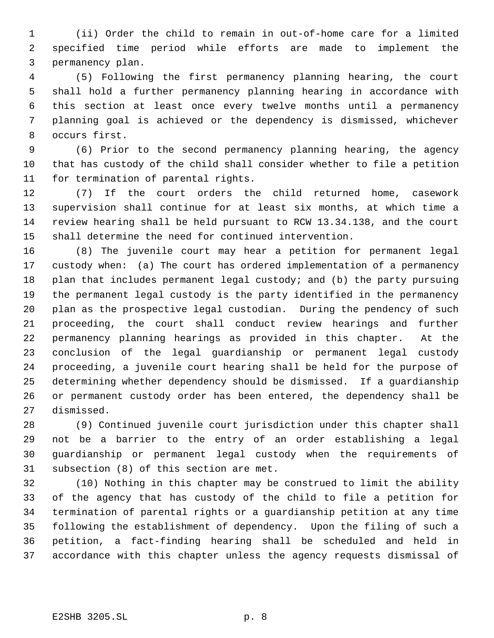(ii) Order the child to remain in out-of-home care for a limited specified time period while efforts are made to implement the permanency plan.

 (5) Following the first permanency planning hearing, the court shall hold a further permanency planning hearing in accordance with this section at least once every twelve months until a permanency planning goal is achieved or the dependency is dismissed, whichever occurs first.

 (6) Prior to the second permanency planning hearing, the agency that has custody of the child shall consider whether to file a petition for termination of parental rights.

 (7) If the court orders the child returned home, casework supervision shall continue for at least six months, at which time a review hearing shall be held pursuant to RCW 13.34.138, and the court shall determine the need for continued intervention.

 (8) The juvenile court may hear a petition for permanent legal custody when: (a) The court has ordered implementation of a permanency 18 plan that includes permanent legal custody; and (b) the party pursuing the permanent legal custody is the party identified in the permanency plan as the prospective legal custodian. During the pendency of such proceeding, the court shall conduct review hearings and further permanency planning hearings as provided in this chapter. At the conclusion of the legal guardianship or permanent legal custody proceeding, a juvenile court hearing shall be held for the purpose of determining whether dependency should be dismissed. If a guardianship or permanent custody order has been entered, the dependency shall be dismissed.

 (9) Continued juvenile court jurisdiction under this chapter shall not be a barrier to the entry of an order establishing a legal guardianship or permanent legal custody when the requirements of subsection (8) of this section are met.

 (10) Nothing in this chapter may be construed to limit the ability of the agency that has custody of the child to file a petition for termination of parental rights or a guardianship petition at any time following the establishment of dependency. Upon the filing of such a petition, a fact-finding hearing shall be scheduled and held in accordance with this chapter unless the agency requests dismissal of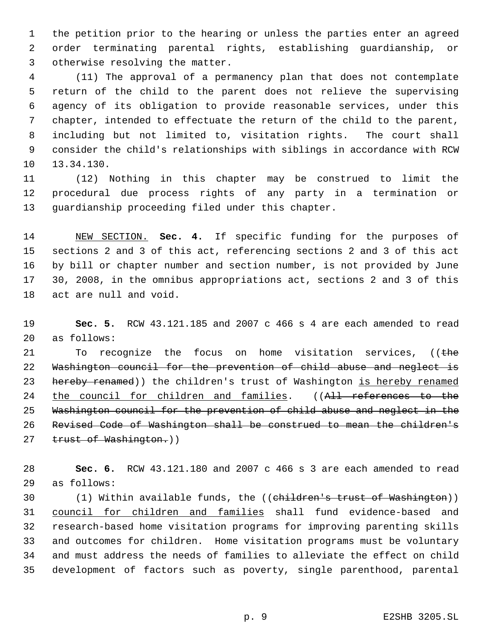the petition prior to the hearing or unless the parties enter an agreed order terminating parental rights, establishing guardianship, or otherwise resolving the matter.

 (11) The approval of a permanency plan that does not contemplate return of the child to the parent does not relieve the supervising agency of its obligation to provide reasonable services, under this chapter, intended to effectuate the return of the child to the parent, including but not limited to, visitation rights. The court shall consider the child's relationships with siblings in accordance with RCW 13.34.130.

 (12) Nothing in this chapter may be construed to limit the procedural due process rights of any party in a termination or guardianship proceeding filed under this chapter.

 NEW SECTION. **Sec. 4.** If specific funding for the purposes of sections 2 and 3 of this act, referencing sections 2 and 3 of this act by bill or chapter number and section number, is not provided by June 30, 2008, in the omnibus appropriations act, sections 2 and 3 of this act are null and void.

 **Sec. 5.** RCW 43.121.185 and 2007 c 466 s 4 are each amended to read as follows:

21 To recognize the focus on home visitation services, ((the Washington council for the prevention of child abuse and neglect is 23 hereby renamed)) the children's trust of Washington is hereby renamed 24 the council for children and families. ((All references to the Washington council for the prevention of child abuse and neglect in the Revised Code of Washington shall be construed to mean the children's 27 trust of Washington.))

 **Sec. 6.** RCW 43.121.180 and 2007 c 466 s 3 are each amended to read as follows:

 (1) Within available funds, the ((children's trust of Washington)) council for children and families shall fund evidence-based and research-based home visitation programs for improving parenting skills and outcomes for children. Home visitation programs must be voluntary and must address the needs of families to alleviate the effect on child development of factors such as poverty, single parenthood, parental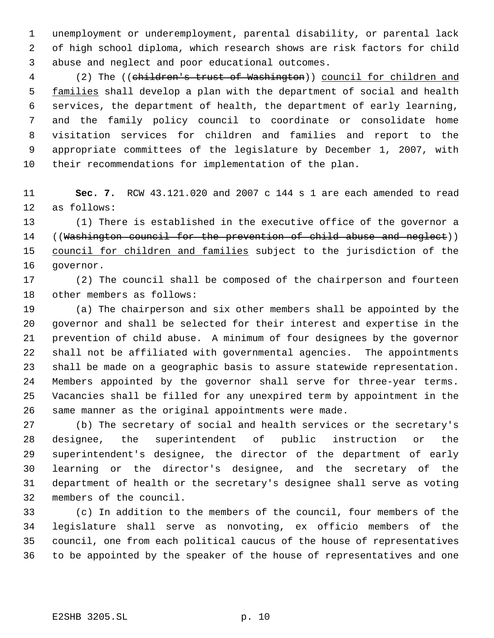unemployment or underemployment, parental disability, or parental lack of high school diploma, which research shows are risk factors for child abuse and neglect and poor educational outcomes.

 (2) The ((children's trust of Washington)) council for children and 5 families shall develop a plan with the department of social and health services, the department of health, the department of early learning, and the family policy council to coordinate or consolidate home visitation services for children and families and report to the appropriate committees of the legislature by December 1, 2007, with their recommendations for implementation of the plan.

 **Sec. 7.** RCW 43.121.020 and 2007 c 144 s 1 are each amended to read as follows:

 (1) There is established in the executive office of the governor a 14 ((Washington council for the prevention of child abuse and neglect)) 15 council for children and families subject to the jurisdiction of the governor.

 (2) The council shall be composed of the chairperson and fourteen other members as follows:

 (a) The chairperson and six other members shall be appointed by the governor and shall be selected for their interest and expertise in the prevention of child abuse. A minimum of four designees by the governor shall not be affiliated with governmental agencies. The appointments shall be made on a geographic basis to assure statewide representation. Members appointed by the governor shall serve for three-year terms. Vacancies shall be filled for any unexpired term by appointment in the same manner as the original appointments were made.

 (b) The secretary of social and health services or the secretary's designee, the superintendent of public instruction or the superintendent's designee, the director of the department of early learning or the director's designee, and the secretary of the department of health or the secretary's designee shall serve as voting members of the council.

 (c) In addition to the members of the council, four members of the legislature shall serve as nonvoting, ex officio members of the council, one from each political caucus of the house of representatives to be appointed by the speaker of the house of representatives and one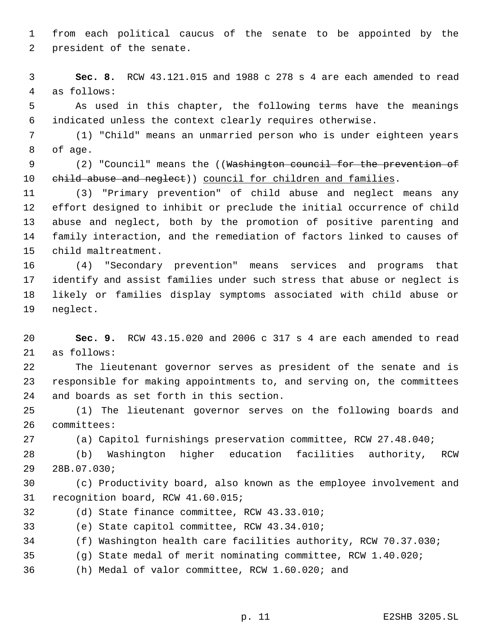from each political caucus of the senate to be appointed by the president of the senate.

 **Sec. 8.** RCW 43.121.015 and 1988 c 278 s 4 are each amended to read as follows:

 As used in this chapter, the following terms have the meanings indicated unless the context clearly requires otherwise.

 (1) "Child" means an unmarried person who is under eighteen years of age.

9 (2) "Council" means the ((Washington council for the prevention of 10 ehild abuse and neglect)) council for children and families.

 (3) "Primary prevention" of child abuse and neglect means any effort designed to inhibit or preclude the initial occurrence of child abuse and neglect, both by the promotion of positive parenting and family interaction, and the remediation of factors linked to causes of child maltreatment.

 (4) "Secondary prevention" means services and programs that identify and assist families under such stress that abuse or neglect is likely or families display symptoms associated with child abuse or neglect.

 **Sec. 9.** RCW 43.15.020 and 2006 c 317 s 4 are each amended to read as follows:

 The lieutenant governor serves as president of the senate and is responsible for making appointments to, and serving on, the committees and boards as set forth in this section.

 (1) The lieutenant governor serves on the following boards and committees:

(a) Capitol furnishings preservation committee, RCW 27.48.040;

 (b) Washington higher education facilities authority, RCW 28B.07.030;

 (c) Productivity board, also known as the employee involvement and recognition board, RCW 41.60.015;

(d) State finance committee, RCW 43.33.010;

(e) State capitol committee, RCW 43.34.010;

(f) Washington health care facilities authority, RCW 70.37.030;

- (g) State medal of merit nominating committee, RCW 1.40.020;
- (h) Medal of valor committee, RCW 1.60.020; and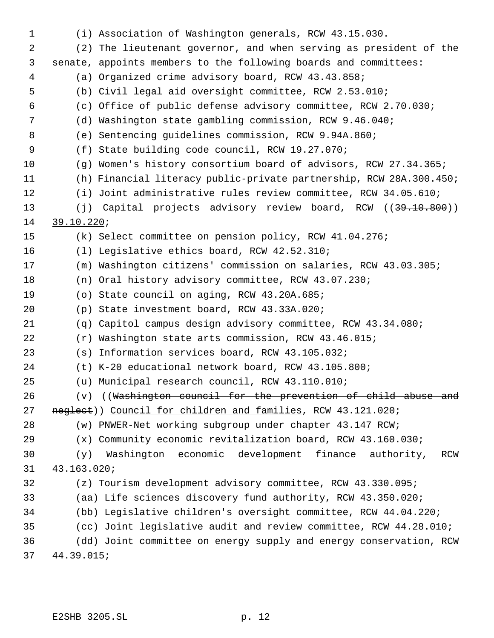| $\mathbf 1$ |             | (i) Association of Washington generals, RCW 43.15.030.                     |
|-------------|-------------|----------------------------------------------------------------------------|
| 2           |             | (2) The lieutenant governor, and when serving as president of the          |
| 3           |             | senate, appoints members to the following boards and committees:           |
| 4           |             | (a) Organized crime advisory board, RCW 43.43.858;                         |
| 5           |             | (b) Civil legal aid oversight committee, RCW 2.53.010;                     |
| 6           |             | (c) Office of public defense advisory committee, RCW 2.70.030;             |
| 7           |             | (d) Washington state gambling commission, RCW 9.46.040;                    |
| 8           |             | (e) Sentencing guidelines commission, RCW 9.94A.860;                       |
| 9           |             | (f) State building code council, RCW 19.27.070;                            |
| 10          |             | (g) Women's history consortium board of advisors, RCW 27.34.365;           |
| 11          |             | (h) Financial literacy public-private partnership, RCW 28A.300.450;        |
| 12          |             | (i) Joint administrative rules review committee, RCW 34.05.610;            |
| 13          |             | (j) Capital projects advisory review board, RCW (( <del>39.10.800</del> )) |
| 14          | 39.10.220i  |                                                                            |
| 15          |             | (k) Select committee on pension policy, RCW 41.04.276;                     |
| 16          |             | (1) Legislative ethics board, RCW 42.52.310;                               |
| 17          |             | (m) Washington citizens' commission on salaries, RCW 43.03.305;            |
| 18          |             | (n) Oral history advisory committee, RCW 43.07.230;                        |
| 19          |             | (o) State council on aging, RCW 43.20A.685;                                |
| 20          |             | (p) State investment board, RCW 43.33A.020;                                |
| 21          | (q)         | Capitol campus design advisory committee, RCW 43.34.080;                   |
| 22          | (r)         | Washington state arts commission, RCW 43.46.015;                           |
| 23          | (S)         | Information services board, RCW 43.105.032;                                |
| 24          |             | (t) K-20 educational network board, RCW 43.105.800;                        |
| 25          |             | (u) Municipal research council, RCW 43.110.010;                            |
| 26          | $(\nabla)$  | ((Washington council for the prevention of child abuse and                 |
| 27          |             | neglect)) Council for children and families, RCW 43.121.020;               |
| 28          |             | (w) PNWER-Net working subgroup under chapter 43.147 RCW;                   |
| 29          |             | (x) Community economic revitalization board, RCW 43.160.030;               |
| 30          | (y)         | Washington economic development finance authority,<br>RCW                  |
| 31          | 43.163.020; |                                                                            |
| 32          |             | (z) Tourism development advisory committee, RCW 43.330.095;                |
| 33          |             | (aa) Life sciences discovery fund authority, RCW 43.350.020;               |
| 34          |             | (bb) Legislative children's oversight committee, RCW 44.04.220;            |
| 35          |             | (cc) Joint legislative audit and review committee, RCW 44.28.010;          |
| 36          |             | (dd) Joint committee on energy supply and energy conservation, RCW         |
| 37          | 44.39.015;  |                                                                            |